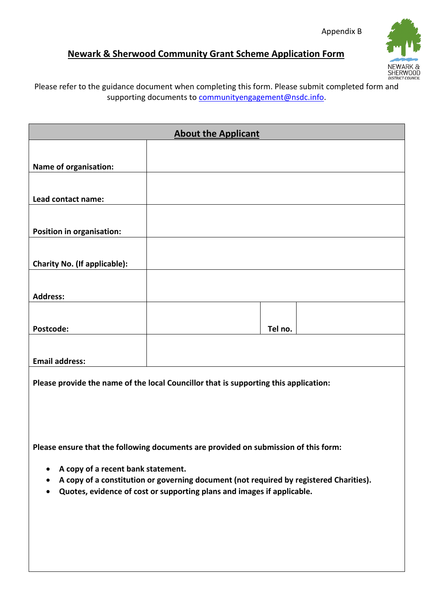## **Newark & Sherwood Community Grant Scheme Application Form**



Please refer to the guidance document when completing this form. Please submit completed form and supporting documents t[o communityengagement@nsdc.info.](mailto:communityengagement@nsdc.info)

| <b>About the Applicant</b>          |         |  |  |
|-------------------------------------|---------|--|--|
|                                     |         |  |  |
| Name of organisation:               |         |  |  |
|                                     |         |  |  |
| Lead contact name:                  |         |  |  |
|                                     |         |  |  |
| Position in organisation:           |         |  |  |
|                                     |         |  |  |
| <b>Charity No. (If applicable):</b> |         |  |  |
|                                     |         |  |  |
| <b>Address:</b>                     |         |  |  |
|                                     |         |  |  |
| Postcode:                           | Tel no. |  |  |
|                                     |         |  |  |
| <b>Email address:</b>               |         |  |  |

**Please provide the name of the local Councillor that is supporting this application:**

**Please ensure that the following documents are provided on submission of this form:**

- **A copy of a recent bank statement.**
- **A copy of a constitution or governing document (not required by registered Charities).**
- **Quotes, evidence of cost or supporting plans and images if applicable.**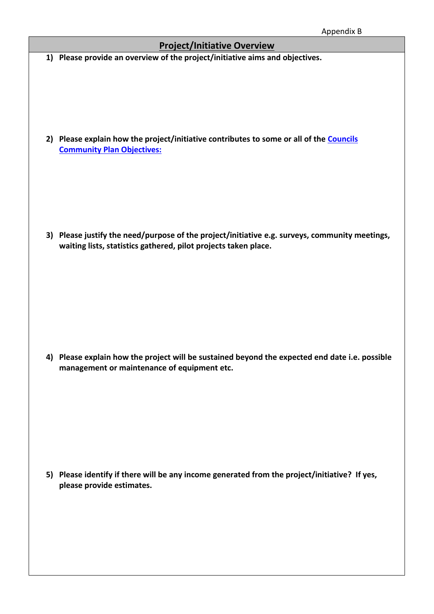|    | дррепатх в                                                                                                                                                     |
|----|----------------------------------------------------------------------------------------------------------------------------------------------------------------|
|    | <b>Project/Initiative Overview</b>                                                                                                                             |
|    | 1) Please provide an overview of the project/initiative aims and objectives.                                                                                   |
| 2) | Please explain how the project/initiative contributes to some or all of the Councils<br><b>Community Plan Objectives:</b>                                      |
| 3) | Please justify the need/purpose of the project/initiative e.g. surveys, community meetings,<br>waiting lists, statistics gathered, pilot projects taken place. |
|    | 4) Please explain how the project will be sustained beyond the expected end date i.e. possible<br>management or maintenance of equipment etc.                  |

**5) Please identify if there will be any income generated from the project/initiative? If yes, please provide estimates.**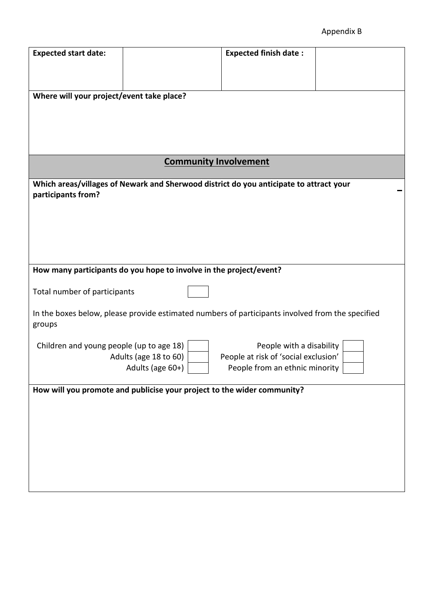## Appendix B

| <b>Expected start date:</b>                                                                      | <b>Expected finish date:</b>         |  |  |  |
|--------------------------------------------------------------------------------------------------|--------------------------------------|--|--|--|
|                                                                                                  |                                      |  |  |  |
|                                                                                                  |                                      |  |  |  |
| Where will your project/event take place?                                                        |                                      |  |  |  |
|                                                                                                  |                                      |  |  |  |
|                                                                                                  |                                      |  |  |  |
|                                                                                                  |                                      |  |  |  |
| <b>Community Involvement</b>                                                                     |                                      |  |  |  |
| Which areas/villages of Newark and Sherwood district do you anticipate to attract your           |                                      |  |  |  |
| participants from?                                                                               |                                      |  |  |  |
|                                                                                                  |                                      |  |  |  |
|                                                                                                  |                                      |  |  |  |
|                                                                                                  |                                      |  |  |  |
|                                                                                                  |                                      |  |  |  |
| How many participants do you hope to involve in the project/event?                               |                                      |  |  |  |
| Total number of participants                                                                     |                                      |  |  |  |
| In the boxes below, please provide estimated numbers of participants involved from the specified |                                      |  |  |  |
| groups                                                                                           |                                      |  |  |  |
| Children and young people (up to age 18)                                                         | People with a disability             |  |  |  |
| Adults (age 18 to 60)                                                                            | People at risk of 'social exclusion' |  |  |  |
| Adults (age 60+)                                                                                 | People from an ethnic minority       |  |  |  |
| How will you promote and publicise your project to the wider community?                          |                                      |  |  |  |
|                                                                                                  |                                      |  |  |  |
|                                                                                                  |                                      |  |  |  |
|                                                                                                  |                                      |  |  |  |
|                                                                                                  |                                      |  |  |  |
|                                                                                                  |                                      |  |  |  |
|                                                                                                  |                                      |  |  |  |
|                                                                                                  |                                      |  |  |  |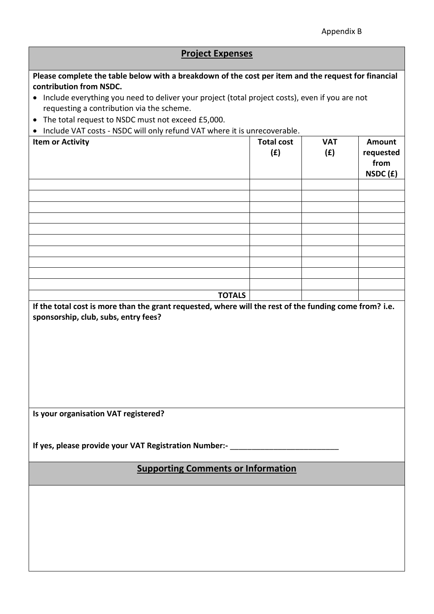## **Project Expenses Please complete the table below with a breakdown of the cost per item and the request for financial contribution from NSDC.** • Include everything you need to deliver your project (total project costs), even if you are not requesting a contribution via the scheme. • The total request to NSDC must not exceed £5,000. • Include VAT costs - NSDC will only refund VAT where it is unrecoverable. **Item or Activity Total cost Total cost (£) VAT (£) Amount requested from NSDC (£) TOTALS If the total cost is more than the grant requested, where will the rest of the funding come from? i.e. sponsorship, club, subs, entry fees? Is your organisation VAT registered?**  If yes, please provide your VAT Registration Number:-**Supporting Comments or Information**